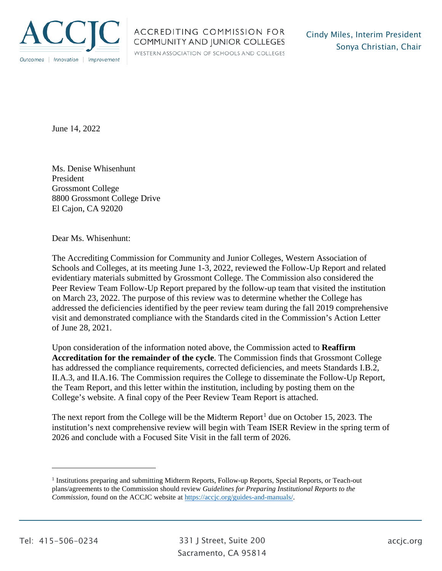

WESTERN ASSOCIATION OF SCHOOLS AND COLLEGES

June 14, 2022

Ms. Denise Whisenhunt President Grossmont College 8800 Grossmont College Drive El Cajon, CA 92020

Dear Ms. Whisenhunt:

The Accrediting Commission for Community and Junior Colleges, Western Association of Schools and Colleges, at its meeting June 1-3, 2022, reviewed the Follow-Up Report and related evidentiary materials submitted by Grossmont College. The Commission also considered the Peer Review Team Follow-Up Report prepared by the follow-up team that visited the institution on March 23, 2022. The purpose of this review was to determine whether the College has addressed the deficiencies identified by the peer review team during the fall 2019 comprehensive visit and demonstrated compliance with the Standards cited in the Commission's Action Letter of June 28, 2021.

Upon consideration of the information noted above, the Commission acted to **Reaffirm Accreditation for the remainder of the cycle**. The Commission finds that Grossmont College has addressed the compliance requirements, corrected deficiencies, and meets Standards I.B.2, II.A.3, and II.A.16. The Commission requires the College to disseminate the Follow-Up Report, the Team Report, and this letter within the institution, including by posting them on the College's website. A final copy of the Peer Review Team Report is attached.

The next report from the College will be the Midterm Report<sup>1</sup> due on October 15, 2023. The institution's next comprehensive review will begin with Team ISER Review in the spring term of 2026 and conclude with a Focused Site Visit in the fall term of 2026.

<sup>1</sup> Institutions preparing and submitting Midterm Reports, Follow-up Reports, Special Reports, or Teach-out plans/agreements to the Commission should review *Guidelines for Preparing Institutional Reports to the Commission*, found on the ACCJC website at https://accjc.org/guides-and-manuals/.